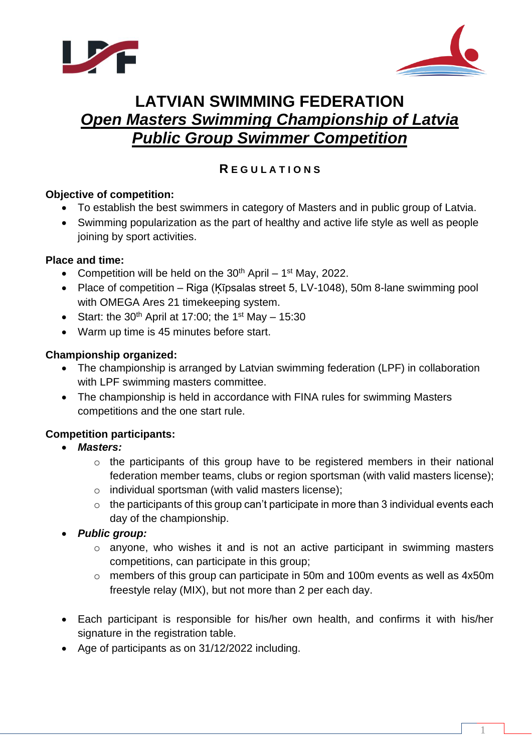



# **LATVIAN SWIMMING FEDERATION** *Open Masters Swimming Championship of Latvia Public Group Swimmer Competition*

# **R E G U L A T I O N S**

# **Objective of competition:**

- To establish the best swimmers in category of Masters and in public group of Latvia.
- Swimming popularization as the part of healthy and active life style as well as people joining by sport activities.

#### **Place and time:**

- Competition will be held on the  $30<sup>th</sup>$  April 1<sup>st</sup> May, 2022.
- Place of competition Riga (Ķīpsalas street 5, LV-1048), 50m 8-lane swimming pool with OMEGA Ares 21 timekeeping system.
- Start: the 30<sup>th</sup> April at 17:00; the 1<sup>st</sup> May 15:30
- Warm up time is 45 minutes before start.

#### **Championship organized:**

- The championship is arranged by Latvian swimming federation (LPF) in collaboration with LPF swimming masters committee.
- The championship is held in accordance with FINA rules for swimming Masters competitions and the one start rule.

# **Competition participants:**

- *Masters:*
	- o the participants of this group have to be registered members in their national federation member teams, clubs or region sportsman (with valid masters license);
	- o individual sportsman (with valid masters license);
	- $\circ$  the participants of this group can't participate in more than 3 individual events each day of the championship.
- *Public group:*
	- o anyone, who wishes it and is not an active participant in swimming masters competitions, can participate in this group;
	- o members of this group can participate in 50m and 100m events as well as 4x50m freestyle relay (MIX), but not more than 2 per each day.
- Each participant is responsible for his/her own health, and confirms it with his/her signature in the registration table.
- Age of participants as on 31/12/2022 including.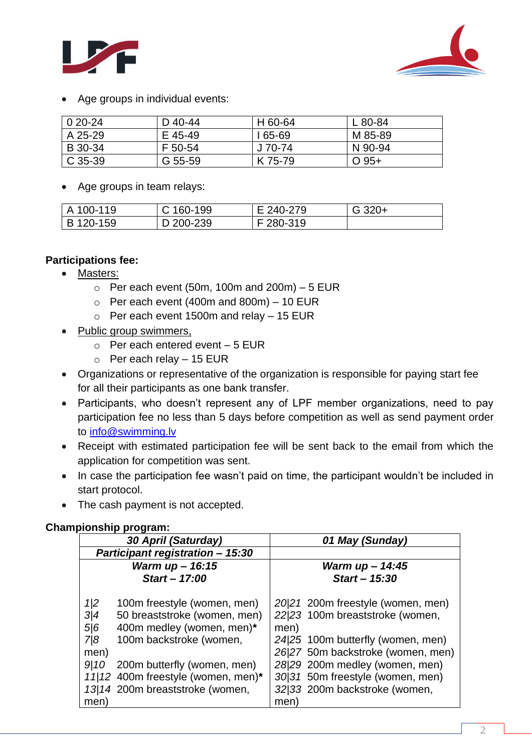



Age groups in individual events:

| $020-24$ | D 40-44 | H 60-64  | L 80-84 |
|----------|---------|----------|---------|
| A 25-29  | E 45-49 | l 65-69  | M 85-89 |
| B 30-34  | F 50-54 | $J70-74$ | N 90-94 |
| C 35-39  | G 55-59 | K 75-79  | $O$ 95+ |

Age groups in team relays:

| l A 100-119 | C 160-199 | E 240-279 | $G$ 320+ |
|-------------|-----------|-----------|----------|
| B 120-159   | D 200-239 | F 280-319 |          |

# **Participations fee:**

- Masters:
	- $\circ$  Per each event (50m, 100m and 200m) 5 EUR
	- $\circ$  Per each event (400m and 800m) 10 EUR
	- $\circ$  Per each event 1500m and relay 15 EUR
- Public group swimmers,
	- $\circ$  Per each entered event 5 EUR
	- $\circ$  Per each relay 15 EUR
- Organizations or representative of the organization is responsible for paying start fee for all their participants as one bank transfer.
- Participants, who doesn't represent any of LPF member organizations, need to pay participation fee no less than 5 days before competition as well as send payment order to [info@swimming.lv](mailto:info@swimming.lv)
- Receipt with estimated participation fee will be sent back to the email from which the application for competition was sent.
- In case the participation fee wasn't paid on time, the participant wouldn't be included in start protocol.
- The cash payment is not accepted.

# **Championship program:**

| 30 April (Saturday)                                                  |                                                                                                                                                                                                                             | 01 May (Sunday)                                                                                                                                                                                                                                                       |
|----------------------------------------------------------------------|-----------------------------------------------------------------------------------------------------------------------------------------------------------------------------------------------------------------------------|-----------------------------------------------------------------------------------------------------------------------------------------------------------------------------------------------------------------------------------------------------------------------|
| <b>Participant registration - 15:30</b>                              |                                                                                                                                                                                                                             |                                                                                                                                                                                                                                                                       |
| Warm up - 16:15                                                      |                                                                                                                                                                                                                             | Warm up - 14:45                                                                                                                                                                                                                                                       |
| Start - 17:00                                                        |                                                                                                                                                                                                                             | Start - 15:30                                                                                                                                                                                                                                                         |
| $\frac{1}{2}$<br>$\frac{3}{4}$<br>5/6<br>7/8<br>men)<br>9110<br>men) | 100m freestyle (women, men)<br>50 breaststroke (women, men)<br>400m medley (women, men)*<br>100m backstroke (women,<br>200m butterfly (women, men)<br>11/12 400m freestyle (women, men)*<br>13/14 200m breaststroke (women, | 20/21 200m freestyle (women, men)<br>22/23 100m breaststroke (women,<br>men)<br>24/25 100m butterfly (women, men)<br>26/27 50m backstroke (women, men)<br>28/29 200m medley (women, men)<br>30/31 50m freestyle (women, men)<br>32/33 200m backstroke (women,<br>men) |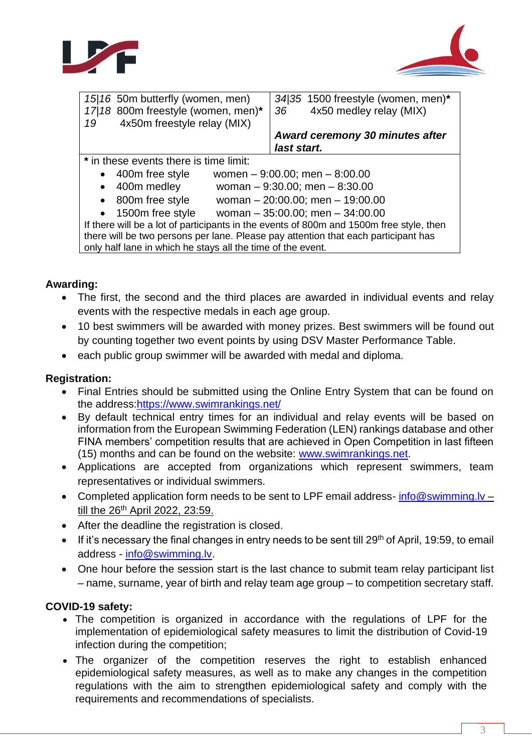



| 15/16 50m butterfly (women, men)                                                        | $34/35$ 1500 freestyle (women, men)* |  |  |  |
|-----------------------------------------------------------------------------------------|--------------------------------------|--|--|--|
| 17/18 800m freestyle (women, men)*                                                      | 4x50 medley relay (MIX)<br>36        |  |  |  |
| 4x50m freestyle relay (MIX)<br>19                                                       |                                      |  |  |  |
|                                                                                         | Award ceremony 30 minutes after      |  |  |  |
|                                                                                         | last start.                          |  |  |  |
| * in these events there is time limit:                                                  |                                      |  |  |  |
| 400m free style<br>$\bullet$                                                            | women $-9:00.00$ ; men $-8:00.00$    |  |  |  |
| 400m medley<br>woman $-9:30.00$ ; men $-8:30.00$<br>٠                                   |                                      |  |  |  |
| 800m free style<br>woman $-20:00.00$ ; men $-19:00.00$<br>$\bullet$                     |                                      |  |  |  |
| woman $-35:00.00$ ; men $-34:00.00$<br>• 1500m free style                               |                                      |  |  |  |
| If there will be a lot of participants in the events of 800m and 1500m free style, then |                                      |  |  |  |
| there will be two persons per lane. Please pay attention that each participant has      |                                      |  |  |  |
| only half lane in which he stays all the time of the event.                             |                                      |  |  |  |

#### **Awarding:**

- The first, the second and the third places are awarded in individual events and relay events with the respective medals in each age group.
- 10 best swimmers will be awarded with money prizes. Best swimmers will be found out by counting together two event points by using DSV Master Performance Table.
- each public group swimmer will be awarded with medal and diploma.

## **Registration:**

- Final Entries should be submitted using the Online Entry System that can be found on the address[:https://www.swimrankings.net/](https://www.swimrankings.net/i)
- By default technical entry times for an individual and relay events will be based on information from the European Swimming Federation (LEN) rankings database and other FINA members' competition results that are achieved in Open Competition in last fifteen (15) months and can be found on the website: [www.swimrankings.net.](http://www.swimrankings.net/)
- Applications are accepted from organizations which represent swimmers, team representatives or individual swimmers.
- Completed application form needs to be sent to LPF email address- info@swimming.ly till the 26<sup>th</sup> April 2022, 23:59.
- After the deadline the registration is closed.
- $\bullet$  If it's necessary the final changes in entry needs to be sent till 29<sup>th</sup> of April, 19:59, to email address - [info@swimming.lv.](mailto:info@swimming.lv)
- One hour before the session start is the last chance to submit team relay participant list – name, surname, year of birth and relay team age group – to competition secretary staff.

#### **COVID-19 safety:**

- The competition is organized in accordance with the regulations of LPF for the implementation of epidemiological safety measures to limit the distribution of Covid-19 infection during the competition;
- The organizer of the competition reserves the right to establish enhanced epidemiological safety measures, as well as to make any changes in the competition regulations with the aim to strengthen epidemiological safety and comply with the requirements and recommendations of specialists.